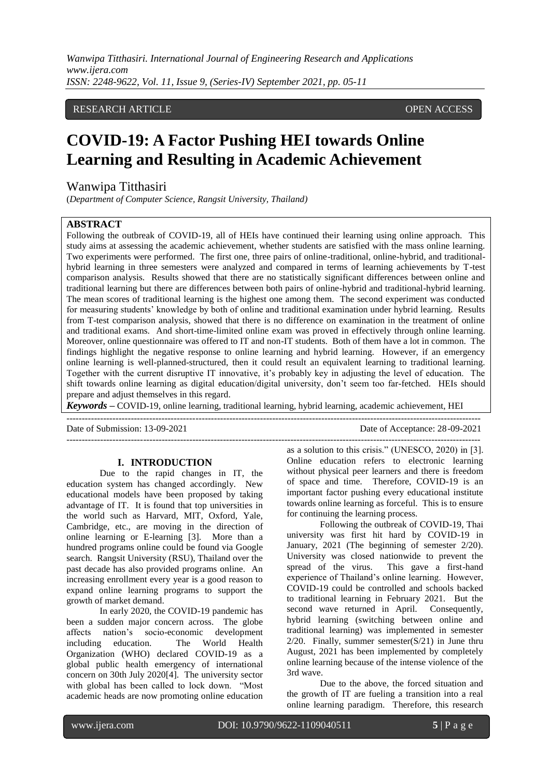*Wanwipa Titthasiri. International Journal of Engineering Research and Applications www.ijera.com ISSN: 2248-9622, Vol. 11, Issue 9, (Series-IV) September 2021, pp. 05-11*

## RESEARCH ARTICLE **CONSERVERS** OPEN ACCESS

# **COVID-19: A Factor Pushing HEI towards Online Learning and Resulting in Academic Achievement**

# Wanwipa Titthasiri

(*Department of Computer Science, Rangsit University, Thailand)*

#### **ABSTRACT**

Following the outbreak of COVID-19, all of HEIs have continued their learning using online approach. This study aims at assessing the academic achievement, whether students are satisfied with the mass online learning. Two experiments were performed. The first one, three pairs of online-traditional, online-hybrid, and traditionalhybrid learning in three semesters were analyzed and compared in terms of learning achievements by T-test comparison analysis. Results showed that there are no statistically significant differences between online and traditional learning but there are differences between both pairs of online-hybrid and traditional-hybrid learning. The mean scores of traditional learning is the highest one among them. The second experiment was conducted for measuring students" knowledge by both of online and traditional examination under hybrid learning. Results from T-test comparison analysis, showed that there is no difference on examination in the treatment of online and traditional exams. And short-time-limited online exam was proved in effectively through online learning. Moreover, online questionnaire was offered to IT and non-IT students. Both of them have a lot in common. The findings highlight the negative response to online learning and hybrid learning. However, if an emergency online learning is well-planned-structured, then it could result an equivalent learning to traditional learning. Together with the current disruptive IT innovative, it's probably key in adjusting the level of education. The shift towards online learning as digital education/digital university, don"t seem too far-fetched. HEIs should prepare and adjust themselves in this regard.

*Keywords* **–** COVID-19, online learning, traditional learning, hybrid learning, academic achievement, HEI ---------------------------------------------------------------------------------------------------------------------------------------

Date of Submission: 13-09-2021 Date of Acceptance: 28-09-2021  $-1\leq i\leq n-1$ 

#### **I. INTRODUCTION**

Due to the rapid changes in IT, the education system has changed accordingly. New educational models have been proposed by taking advantage of IT. It is found that top universities in the world such as Harvard, MIT, Oxford, Yale, Cambridge, etc., are moving in the direction of online learning or E-learning [3]. More than a hundred programs online could be found via Google search. Rangsit University (RSU), Thailand over the past decade has also provided programs online. An increasing enrollment every year is a good reason to expand online learning programs to support the growth of market demand.

In early 2020, the COVID-19 pandemic has been a sudden major concern across. The globe affects nation"s socio-economic development including education. The World Health Organization (WHO) declared COVID-19 as a global public health emergency of international concern on 30th July 2020[4]. The university sector with global has been called to lock down. "Most academic heads are now promoting online education

as a solution to this crisis." (UNESCO, 2020) in [3]. Online education refers to electronic learning without physical peer learners and there is freedom of space and time. Therefore, COVID-19 is an important factor pushing every educational institute towards online learning as forceful. This is to ensure for continuing the learning process.

Following the outbreak of COVID-19, Thai university was first hit hard by COVID-19 in January, 2021 (The beginning of semester 2/20). University was closed nationwide to prevent the spread of the virus. This gave a first-hand experience of Thailand"s online learning. However, COVID-19 could be controlled and schools backed to traditional learning in February 2021. But the second wave returned in April. Consequently, hybrid learning (switching between online and traditional learning) was implemented in semester  $2/20$ . Finally, summer semester( $S/21$ ) in June thru August, 2021 has been implemented by completely online learning because of the intense violence of the 3rd wave.

Due to the above, the forced situation and the growth of IT are fueling a transition into a real online learning paradigm. Therefore, this research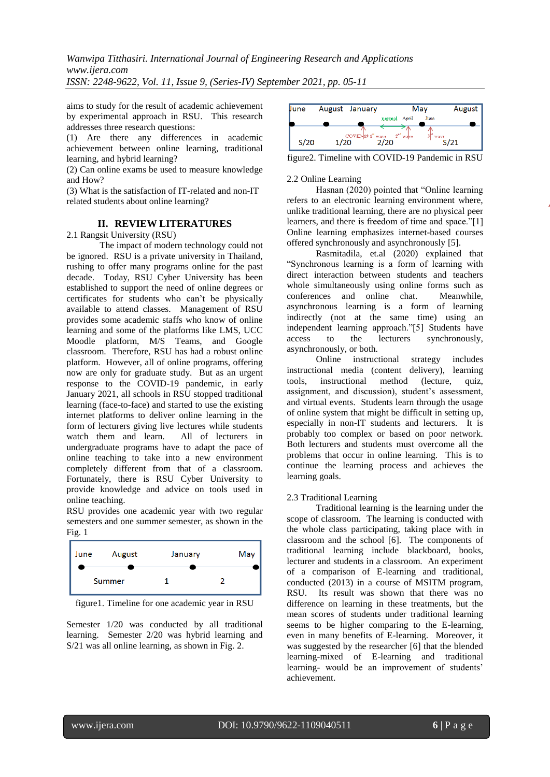*Wanwipa Titthasiri. International Journal of Engineering Research and Applications www.ijera.com ISSN: 2248-9622, Vol. 11, Issue 9, (Series-IV) September 2021, pp. 05-11*

aims to study for the result of academic achievement by experimental approach in RSU. This research addresses three research questions:

(1) Are there any differences in academic achievement between online learning, traditional learning, and hybrid learning?

(2) Can online exams be used to measure knowledge and How?

(3) What is the satisfaction of IT-related and non-IT related students about online learning?

## **II. REVIEW LITERATURES**

2.1 Rangsit University (RSU)

 The impact of modern technology could not be ignored. RSU is a private university in Thailand, rushing to offer many programs online for the past decade. Today, RSU Cyber University has been established to support the need of online degrees or certificates for students who can"t be physically available to attend classes. Management of RSU provides some academic staffs who know of online learning and some of the platforms like LMS, UCC Moodle platform, M/S Teams, and Google classroom. Therefore, RSU has had a robust online platform. However, all of online programs, offering now are only for graduate study. But as an urgent response to the COVID-19 pandemic, in early January 2021, all schools in RSU stopped traditional learning (face-to-face) and started to use the existing internet platforms to deliver online learning in the form of lecturers giving live lectures while students<br>watch them and learn. All of lecturers in watch them and learn. undergraduate programs have to adapt the pace of online teaching to take into a new environment completely different from that of a classroom. Fortunately, there is RSU Cyber University to provide knowledge and advice on tools used in online teaching.

RSU provides one academic year with two regular semesters and one summer semester, as shown in the Fig. 1



figure1. Timeline for one academic year in RSU

Semester 1/20 was conducted by all traditional learning. Semester 2/20 was hybrid learning and S/21 was all online learning, as shown in Fig. 2.



figure2. Timeline with COVID-19 Pandemic in RSU

### 2.2 Online Learning

Hasnan (2020) pointed that "Online learning refers to an electronic learning environment where, unlike traditional learning, there are no physical peer learners, and there is freedom of time and space."[1] Online learning emphasizes internet-based courses offered synchronously and asynchronously [5].

Rasmitadila, et.al (2020) explained that "Synchronous learning is a form of learning with direct interaction between students and teachers whole simultaneously using online forms such as conferences and online chat. Meanwhile, asynchronous learning is a form of learning indirectly (not at the same time) using an independent learning approach."[5] Students have access to the lecturers synchronously, asynchronously, or both.

Online instructional strategy includes instructional media (content delivery), learning tools, instructional method (lecture, quiz, assignment, and discussion), student"s assessment, and virtual events. Students learn through the usage of online system that might be difficult in setting up, especially in non-IT students and lecturers. It is probably too complex or based on poor network. Both lecturers and students must overcome all the problems that occur in online learning. This is to continue the learning process and achieves the learning goals.

# 2.3 Traditional Learning

Traditional learning is the learning under the scope of classroom. The learning is conducted with the whole class participating, taking place with in classroom and the school [6]. The components of traditional learning include blackboard, books, lecturer and students in a classroom. An experiment of a comparison of E-learning and traditional, conducted (2013) in a course of MSITM program, RSU. Its result was shown that there was no difference on learning in these treatments, but the mean scores of students under traditional learning seems to be higher comparing to the E-learning, even in many benefits of E-learning. Moreover, it was suggested by the researcher [6] that the blended learning-mixed of E-learning and traditional learning- would be an improvement of students' achievement.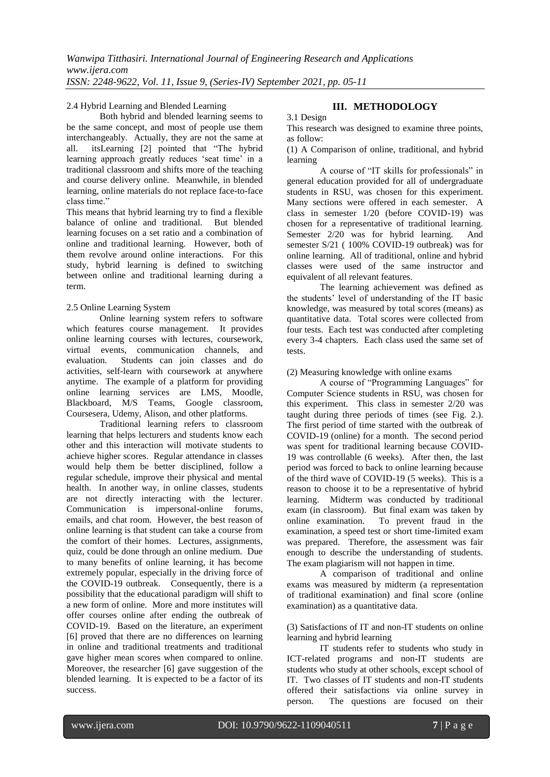### 2.4 Hybrid Learning and Blended Learning

Both hybrid and blended learning seems to be the same concept, and most of people use them interchangeably. Actually, they are not the same at all. its<br>Learning [2] pointed that "The hybrid" itsLearning [2] pointed that "The hybrid learning approach greatly reduces 'seat time' in a traditional classroom and shifts more of the teaching and course delivery online. Meanwhile, in blended learning, online materials do not replace face-to-face class time."

This means that hybrid learning try to find a flexible balance of online and traditional. But blended learning focuses on a set ratio and a combination of online and traditional learning. However, both of them revolve around online interactions. For this study, hybrid learning is defined to switching between online and traditional learning during a term.

## 2.5 Online Learning System

Online learning system refers to software which features course management. It provides online learning courses with lectures, coursework, virtual events, communication channels, and evaluation. Students can join classes and do activities, self-learn with coursework at anywhere anytime. The example of a platform for providing online learning services are LMS, Moodle, Blackboard, M/S Teams, Google classroom, Coursesera, Udemy, Alison, and other platforms.

Traditional learning refers to classroom learning that helps lecturers and students know each other and this interaction will motivate students to achieve higher scores. Regular attendance in classes would help them be better disciplined, follow a regular schedule, improve their physical and mental health. In another way, in online classes, students are not directly interacting with the lecturer. Communication is impersonal-online forums, emails, and chat room. However, the best reason of online learning is that student can take a course from the comfort of their homes. Lectures, assignments, quiz, could be done through an online medium. Due to many benefits of online learning, it has become extremely popular, especially in the driving force of the COVID-19 outbreak. Consequently, there is a possibility that the educational paradigm will shift to a new form of online. More and more institutes will offer courses online after ending the outbreak of COVID-19. Based on the literature, an experiment [6] proved that there are no differences on learning in online and traditional treatments and traditional gave higher mean scores when compared to online. Moreover, the researcher [6] gave suggestion of the blended learning. It is expected to be a factor of its success.

# **III. METHODOLOGY**

#### 3.1 Design

This research was designed to examine three points, as follow:

(1) A Comparison of online, traditional, and hybrid learning

A course of "IT skills for professionals" in general education provided for all of undergraduate students in RSU, was chosen for this experiment. Many sections were offered in each semester. A class in semester 1/20 (before COVID-19) was chosen for a representative of traditional learning. Semester 2/20 was for hybrid learning. And semester S/21 ( 100% COVID-19 outbreak) was for online learning. All of traditional, online and hybrid classes were used of the same instructor and equivalent of all relevant features.

The learning achievement was defined as the students" level of understanding of the IT basic knowledge, was measured by total scores (means) as quantitative data. Total scores were collected from four tests. Each test was conducted after completing every 3-4 chapters. Each class used the same set of tests.

(2) Measuring knowledge with online exams

A course of "Programming Languages" for Computer Science students in RSU, was chosen for this experiment. This class in semester 2/20 was taught during three periods of times (see Fig. 2.). The first period of time started with the outbreak of COVID-19 (online) for a month. The second period was spent for traditional learning because COVID-19 was controllable (6 weeks). After then, the last period was forced to back to online learning because of the third wave of COVID-19 (5 weeks). This is a reason to choose it to be a representative of hybrid learning. Midterm was conducted by traditional exam (in classroom). But final exam was taken by online examination. To prevent fraud in the examination, a speed test or short time-limited exam was prepared. Therefore, the assessment was fair enough to describe the understanding of students. The exam plagiarism will not happen in time.

A comparison of traditional and online exams was measured by midterm (a representation of traditional examination) and final score (online examination) as a quantitative data.

(3) Satisfactions of IT and non-IT students on online learning and hybrid learning

IT students refer to students who study in ICT-related programs and non-IT students are students who study at other schools, except school of IT. Two classes of IT students and non-IT students offered their satisfactions via online survey in person. The questions are focused on their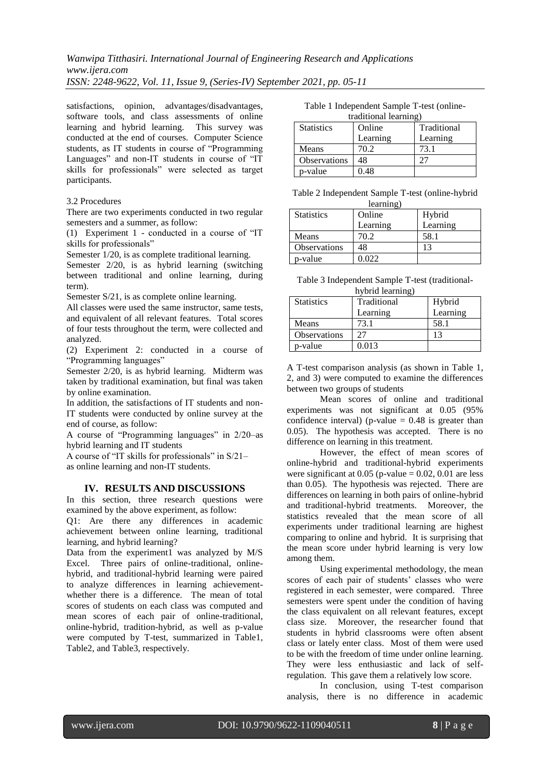satisfactions, opinion, advantages/disadvantages, software tools, and class assessments of online learning and hybrid learning. This survey was learning and hybrid learning. conducted at the end of courses. Computer Science students, as IT students in course of "Programming Languages" and non-IT students in course of "IT skills for professionals" were selected as target participants.

#### 3.2 Procedures

There are two experiments conducted in two regular semesters and a summer, as follow:

(1) Experiment 1 - conducted in a course of "IT skills for professionals"

Semester 1/20, is as complete traditional learning.

Semester 2/20, is as hybrid learning (switching between traditional and online learning, during term).

Semester S/21, is as complete online learning.

All classes were used the same instructor, same tests, and equivalent of all relevant features. Total scores of four tests throughout the term, were collected and analyzed.

(2) Experiment 2: conducted in a course of "Programming languages"

Semester 2/20, is as hybrid learning. Midterm was taken by traditional examination, but final was taken by online examination.

In addition, the satisfactions of IT students and non-IT students were conducted by online survey at the end of course, as follow:

A course of "Programming languages" in 2/20–as hybrid learning and IT students

A course of "IT skills for professionals" in S/21– as online learning and non-IT students.

#### **IV. RESULTS AND DISCUSSIONS**

In this section, three research questions were examined by the above experiment, as follow:

Q1: Are there any differences in academic achievement between online learning, traditional learning, and hybrid learning?

Data from the experiment1 was analyzed by M/S Excel. Three pairs of online-traditional, onlinehybrid, and traditional-hybrid learning were paired to analyze differences in learning achievementwhether there is a difference. The mean of total scores of students on each class was computed and mean scores of each pair of online-traditional, online-hybrid, tradition-hybrid, as well as p-value were computed by T-test, summarized in Table1, Table2, and Table3, respectively.

Table 1 Independent Sample T-test (onlinetraditional learning)

| $u$ autoliai teatum $\epsilon$ |          |             |  |
|--------------------------------|----------|-------------|--|
| <b>Statistics</b>              | Online   | Traditional |  |
|                                | Learning | Learning    |  |
| Means                          | 70.2     | 73.1        |  |
| Observations                   | 48       |             |  |
| p-value                        | 0.48     |             |  |

Table 2 Independent Sample T-test (online-hybrid learning)

| <b>Statistics</b> | Online<br>Learning | Hybrid<br>Learning |
|-------------------|--------------------|--------------------|
| Means             | 70.2               | 58.1               |
| Observations      | 48                 | 13                 |
| p-value           | 0.022              |                    |

Table 3 Independent Sample T-test (traditionalhybrid learning)

| <b>Statistics</b> | Traditional | $\pi$ and $\pi$ and $\pi$<br>Hybrid |  |  |
|-------------------|-------------|-------------------------------------|--|--|
|                   | Learning    | Learning                            |  |  |
| Means             | 73.1        | 58.1                                |  |  |
| Observations      | フフ          |                                     |  |  |
| p-value           | 0.013       |                                     |  |  |

A T-test comparison analysis (as shown in Table 1, 2, and 3) were computed to examine the differences between two groups of students

Mean scores of online and traditional experiments was not significant at 0.05 (95% confidence interval) (p-value  $= 0.48$  is greater than 0.05). The hypothesis was accepted. There is no difference on learning in this treatment.

However, the effect of mean scores of online-hybrid and traditional-hybrid experiments were significant at  $0.05$  (p-value = 0.02, 0.01 are less than 0.05). The hypothesis was rejected. There are differences on learning in both pairs of online-hybrid and traditional-hybrid treatments. Moreover, the statistics revealed that the mean score of all experiments under traditional learning are highest comparing to online and hybrid. It is surprising that the mean score under hybrid learning is very low among them.

Using experimental methodology, the mean scores of each pair of students' classes who were registered in each semester, were compared. Three semesters were spent under the condition of having the class equivalent on all relevant features, except class size. Moreover, the researcher found that students in hybrid classrooms were often absent class or lately enter class. Most of them were used to be with the freedom of time under online learning. They were less enthusiastic and lack of selfregulation. This gave them a relatively low score.

In conclusion, using T-test comparison analysis, there is no difference in academic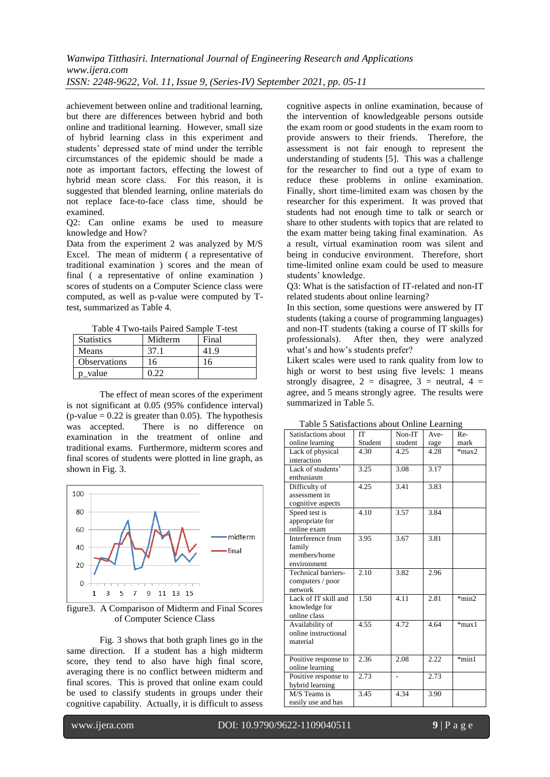achievement between online and traditional learning, but there are differences between hybrid and both online and traditional learning. However, small size of hybrid learning class in this experiment and students" depressed state of mind under the terrible circumstances of the epidemic should be made a note as important factors, effecting the lowest of hybrid mean score class. For this reason, it is suggested that blended learning, online materials do not replace face-to-face class time, should be examined.

Q2: Can online exams be used to measure knowledge and How?

Data from the experiment 2 was analyzed by M/S Excel. The mean of midterm ( a representative of traditional examination ) scores and the mean of final ( a representative of online examination ) scores of students on a Computer Science class were computed, as well as p-value were computed by Ttest, summarized as Table 4.

Table 4 Two-tails Paired Sample T-test

| <b>Statistics</b>   | Midterm | Final |
|---------------------|---------|-------|
| Means               | 37.1    | 41.9  |
| <b>Observations</b> | 16      |       |
| p_value             |         |       |

The effect of mean scores of the experiment is not significant at 0.05 (95% confidence interval) (p-value  $= 0.22$  is greater than 0.05). The hypothesis was accepted. There is no difference on examination in the treatment of online and traditional exams. Furthermore, midterm scores and final scores of students were plotted in line graph, as shown in Fig. 3.



figure3. A Comparison of Midterm and Final Scores of Computer Science Class

Fig. 3 shows that both graph lines go in the same direction. If a student has a high midterm score, they tend to also have high final score, averaging there is no conflict between midterm and final scores. This is proved that online exam could be used to classify students in groups under their cognitive capability. Actually, it is difficult to assess

cognitive aspects in online examination, because of the intervention of knowledgeable persons outside the exam room or good students in the exam room to provide answers to their friends. Therefore, the assessment is not fair enough to represent the understanding of students [5]. This was a challenge for the researcher to find out a type of exam to reduce these problems in online examination. Finally, short time-limited exam was chosen by the researcher for this experiment. It was proved that students had not enough time to talk or search or share to other students with topics that are related to the exam matter being taking final examination. As a result, virtual examination room was silent and being in conducive environment. Therefore, short time-limited online exam could be used to measure students' knowledge.

Q3: What is the satisfaction of IT-related and non-IT related students about online learning?

In this section, some questions were answered by IT students (taking a course of programming languages) and non-IT students (taking a course of IT skills for professionals). After then, they were analyzed what's and how's students prefer?

Likert scales were used to rank quality from low to high or worst to best using five levels: 1 means strongly disagree,  $2 =$  disagree,  $3 =$  neutral,  $4 =$ agree, and 5 means strongly agree. The results were summarized in Table 5.

| Satisfactions about        | ľТ      | Non-IT            | Ave- | Re-     |
|----------------------------|---------|-------------------|------|---------|
| online learning            | Student | student           | rage | mark    |
| Lack of physical           | 4.30    | 4.25              | 4.28 | $*max2$ |
| interaction                |         |                   |      |         |
| Lack of students'          | 3.25    | 3.08              | 3.17 |         |
| enthusiasm                 |         |                   |      |         |
| Difficulty of              | 4.25    | 3.41              | 3.83 |         |
| assessment in              |         |                   |      |         |
| cognitive aspects          |         |                   |      |         |
| Speed test is              | 4.10    | 3.57              | 3.84 |         |
| appropriate for            |         |                   |      |         |
| online exam                |         |                   |      |         |
| Interference from          | 3.95    | $3.\overline{67}$ | 3.81 |         |
| family                     |         |                   |      |         |
| members/home               |         |                   |      |         |
| environment                |         |                   |      |         |
| <b>Technical barriers-</b> | 2.10    | 3.82              | 2.96 |         |
| computers / poor           |         |                   |      |         |
| network                    |         |                   |      |         |
| Lack of IT skill and       | 1.50    | 4.11              | 2.81 | $*min2$ |
| knowledge for              |         |                   |      |         |
| online class               |         |                   |      |         |
| Availability of            | 4.55    | 4.72              | 4.64 | $*max1$ |
| online instructional       |         |                   |      |         |
| material                   |         |                   |      |         |
|                            |         |                   |      |         |
| Positive response to       | 2.36    | 2.08              | 2.22 | $*min1$ |
| online learning            |         |                   |      |         |
| Positive response to       | 2.73    |                   | 2.73 |         |
| hybrid learning            |         |                   |      |         |
| M/S Teams is               | 3.45    | 4.34              | 3.90 |         |
| easily use and has         |         |                   |      |         |
|                            |         |                   |      |         |

Table 5 Satisfactions about Online Learning

www.ijera.com DOI: 10.9790/9622-1109040511 **9** | P a g e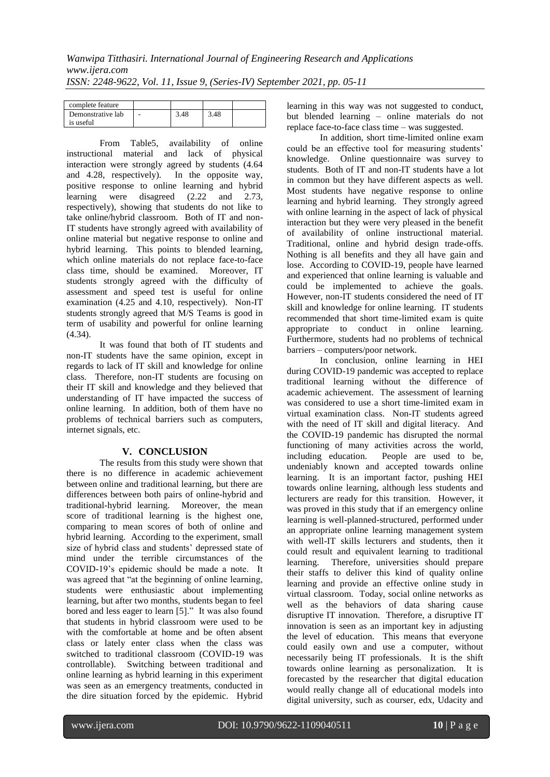| complete feature  |   |      |      |  |
|-------------------|---|------|------|--|
| Demonstrative lab | - | 3.48 | 3.48 |  |
| is useful         |   |      |      |  |

From Table5, availability of online instructional material and lack of physical interaction were strongly agreed by students (4.64 and 4.28, respectively). In the opposite way, positive response to online learning and hybrid learning were disagreed (2.22 and 2.73, respectively), showing that students do not like to take online/hybrid classroom. Both of IT and non-IT students have strongly agreed with availability of online material but negative response to online and hybrid learning. This points to blended learning, which online materials do not replace face-to-face class time, should be examined. Moreover, IT students strongly agreed with the difficulty of assessment and speed test is useful for online examination (4.25 and 4.10, respectively). Non-IT students strongly agreed that M/S Teams is good in term of usability and powerful for online learning (4.34).

It was found that both of IT students and non-IT students have the same opinion, except in regards to lack of IT skill and knowledge for online class. Therefore, non-IT students are focusing on their IT skill and knowledge and they believed that understanding of IT have impacted the success of online learning. In addition, both of them have no problems of technical barriers such as computers, internet signals, etc.

# **V. CONCLUSION**

The results from this study were shown that there is no difference in academic achievement between online and traditional learning, but there are differences between both pairs of online-hybrid and traditional-hybrid learning. Moreover, the mean score of traditional learning is the highest one, comparing to mean scores of both of online and hybrid learning. According to the experiment, small size of hybrid class and students' depressed state of mind under the terrible circumstances of the COVID-19"s epidemic should be made a note. It was agreed that "at the beginning of online learning, students were enthusiastic about implementing learning, but after two months, students began to feel bored and less eager to learn [5]." It was also found that students in hybrid classroom were used to be with the comfortable at home and be often absent class or lately enter class when the class was switched to traditional classroom (COVID-19 was controllable). Switching between traditional and online learning as hybrid learning in this experiment was seen as an emergency treatments, conducted in the dire situation forced by the epidemic. Hybrid

learning in this way was not suggested to conduct, but blended learning – online materials do not replace face-to-face class time – was suggested.

In addition, short time-limited online exam could be an effective tool for measuring students' knowledge. Online questionnaire was survey to students. Both of IT and non-IT students have a lot in common but they have different aspects as well. Most students have negative response to online learning and hybrid learning. They strongly agreed with online learning in the aspect of lack of physical interaction but they were very pleased in the benefit of availability of online instructional material. Traditional, online and hybrid design trade-offs. Nothing is all benefits and they all have gain and lose. According to COVID-19, people have learned and experienced that online learning is valuable and could be implemented to achieve the goals. However, non-IT students considered the need of IT skill and knowledge for online learning. IT students recommended that short time-limited exam is quite appropriate to conduct in online learning. Furthermore, students had no problems of technical barriers – computers/poor network.

In conclusion, online learning in HEI during COVID-19 pandemic was accepted to replace traditional learning without the difference of academic achievement. The assessment of learning was considered to use a short time-limited exam in virtual examination class. Non-IT students agreed with the need of IT skill and digital literacy. And the COVID-19 pandemic has disrupted the normal functioning of many activities across the world, including education. People are used to be, undeniably known and accepted towards online learning. It is an important factor, pushing HEI towards online learning, although less students and lecturers are ready for this transition. However, it was proved in this study that if an emergency online learning is well-planned-structured, performed under an appropriate online learning management system with well-IT skills lecturers and students, then it could result and equivalent learning to traditional learning. Therefore, universities should prepare their staffs to deliver this kind of quality online learning and provide an effective online study in virtual classroom. Today, social online networks as well as the behaviors of data sharing cause disruptive IT innovation. Therefore, a disruptive IT innovation is seen as an important key in adjusting the level of education. This means that everyone could easily own and use a computer, without necessarily being IT professionals. It is the shift towards online learning as personalization. It is forecasted by the researcher that digital education would really change all of educational models into digital university, such as courser, edx, Udacity and